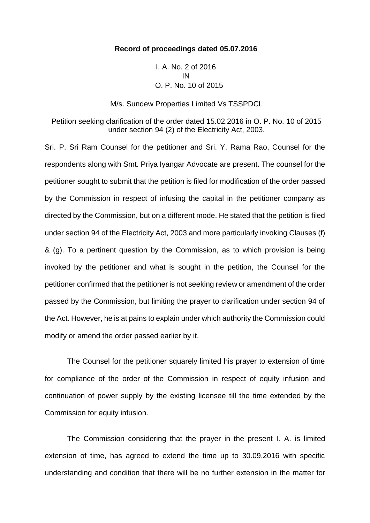## **Record of proceedings dated 05.07.2016**

I. A. No. 2 of 2016 IN O. P. No. 10 of 2015

M/s. Sundew Properties Limited Vs TSSPDCL

Petition seeking clarification of the order dated 15.02.2016 in O. P. No. 10 of 2015 under section 94 (2) of the Electricity Act, 2003.

Sri. P. Sri Ram Counsel for the petitioner and Sri. Y. Rama Rao, Counsel for the respondents along with Smt. Priya Iyangar Advocate are present. The counsel for the petitioner sought to submit that the petition is filed for modification of the order passed by the Commission in respect of infusing the capital in the petitioner company as directed by the Commission, but on a different mode. He stated that the petition is filed under section 94 of the Electricity Act, 2003 and more particularly invoking Clauses (f) & (g). To a pertinent question by the Commission, as to which provision is being invoked by the petitioner and what is sought in the petition, the Counsel for the petitioner confirmed that the petitioner is not seeking review or amendment of the order passed by the Commission, but limiting the prayer to clarification under section 94 of the Act. However, he is at pains to explain under which authority the Commission could modify or amend the order passed earlier by it.

The Counsel for the petitioner squarely limited his prayer to extension of time for compliance of the order of the Commission in respect of equity infusion and continuation of power supply by the existing licensee till the time extended by the Commission for equity infusion.

The Commission considering that the prayer in the present I. A. is limited extension of time, has agreed to extend the time up to 30.09.2016 with specific understanding and condition that there will be no further extension in the matter for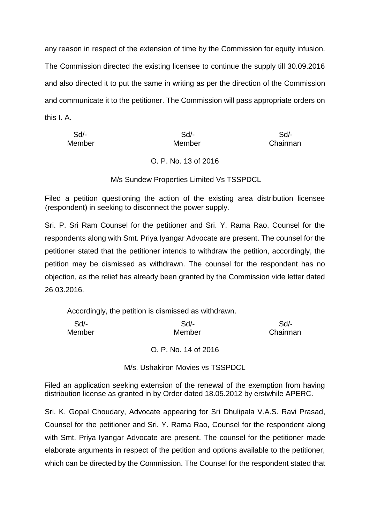any reason in respect of the extension of time by the Commission for equity infusion. The Commission directed the existing licensee to continue the supply till 30.09.2016 and also directed it to put the same in writing as per the direction of the Commission and communicate it to the petitioner. The Commission will pass appropriate orders on this I. A.

| Sd/-   | Sd/-   | Sd/-     |
|--------|--------|----------|
| Member | Member | Chairman |

## O. P. No. 13 of 2016

M/s Sundew Properties Limited Vs TSSPDCL

Filed a petition questioning the action of the existing area distribution licensee (respondent) in seeking to disconnect the power supply.

Sri. P. Sri Ram Counsel for the petitioner and Sri. Y. Rama Rao, Counsel for the respondents along with Smt. Priya Iyangar Advocate are present. The counsel for the petitioner stated that the petitioner intends to withdraw the petition, accordingly, the petition may be dismissed as withdrawn. The counsel for the respondent has no objection, as the relief has already been granted by the Commission vide letter dated 26.03.2016.

Accordingly, the petition is dismissed as withdrawn.

| Sd/-   | Sd/-   | Sd/-     |
|--------|--------|----------|
| Member | Member | Chairman |
|        |        |          |

O. P. No. 14 of 2016

M/s. Ushakiron Movies vs TSSPDCL

Filed an application seeking extension of the renewal of the exemption from having distribution license as granted in by Order dated 18.05.2012 by erstwhile APERC.

Sri. K. Gopal Choudary, Advocate appearing for Sri Dhulipala V.A.S. Ravi Prasad, Counsel for the petitioner and Sri. Y. Rama Rao, Counsel for the respondent along with Smt. Priya Iyangar Advocate are present. The counsel for the petitioner made elaborate arguments in respect of the petition and options available to the petitioner, which can be directed by the Commission. The Counsel for the respondent stated that